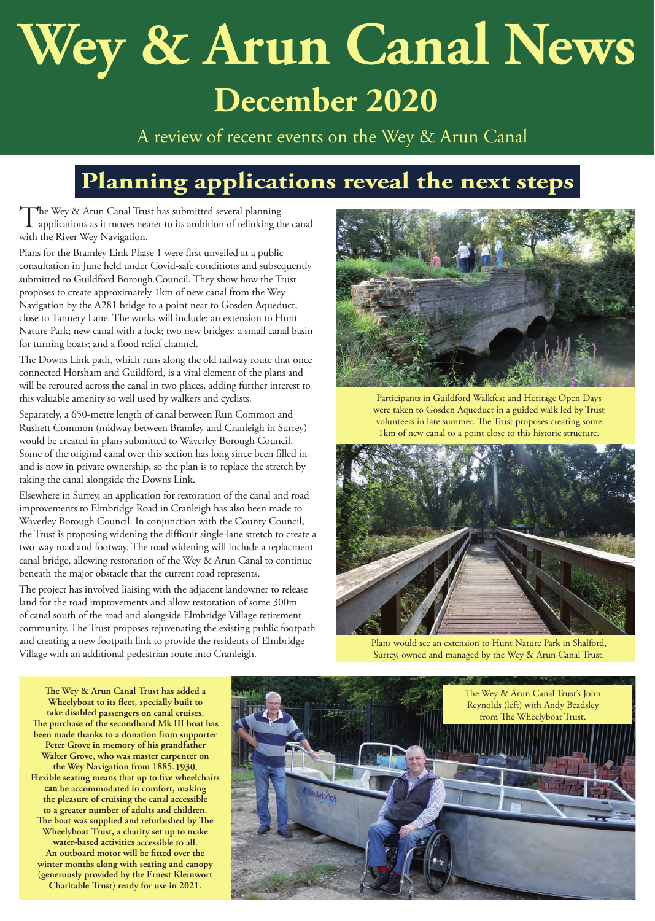# **Wey & Arun Canal News December 2020**

A review of recent events on the Wey & Arun Canal

## **Planning applications reveal the next steps**

The Wey & Arun Canal Trust has submitted several planning<br>applications as it moves nearer to its ambition of relinking the canal<br>ideal Pierry Maritime with the River Wey Navigation.

Plans for the Bramley Link Phase 1 were first unveiled at a public consultation in June held under Covid-safe conditions and subsequently submitted to Guildford Borough Council. They show how the Trust proposes to create approximately 1km of new canal from the Wey Navigation by the A281 bridge to a point near to Gosden Aqueduct, close to Tannery Lane. The works will include: an extension to Hunt Nature Park; new canal with a lock; two new bridges; a small canal basin for turning boats; and a flood relief channel.

The Downs Link path, which runs along the old railway route that once connected Horsham and Guildford, is a vital element of the plans and will be rerouted across the canal in two places, adding further interest to this valuable amenity so well used by walkers and cyclists.

Separately, a 650-metre length of canal between Run Common and Rushett Common (midway between Bramley and Cranleigh in Surrey) would be created in plans submitted to Waverley Borough Council. Some of the original canal over this section has long since been filled in and is now in private ownership, so the plan is to replace the stretch by taking the canal alongside the Downs Link.

Elsewhere in Surrey, an application for restoration of the canal and road improvements to Elmbridge Road in Cranleigh has also been made to Waverley Borough Council. In conjunction with the County Council, the Trust is proposing widening the difficult single-lane stretch to create a two-way road and footway. The road widening will include a replacment canal bridge, allowing restoration of the Wey & Arun Canal to continue beneath the major obstacle that the current road represents.

The project has involved liaising with the adjacent landowner to release land for the road improvements and allow restoration of some 300m of canal south of the road and alongside Elmbridge Village retirement community. The Trust proposes rejuvenating the existing public footpath and creating a new footpath link to provide the residents of Elmbridge Village with an additional pedestrian route into Cranleigh.



Participants in Guildford Walkfest and Heritage Open Days were taken to Gosden Aqueduct in a guided walk led by Trust volunteers in late summer. The Trust proposes creating some 1km of new canal to a point close to this historic structure.



Plans would see an extension to Hunt Nature Park in Shalford, Surrey, owned and managed by the Wey & Arun Canal Trust.

**The Wey & Arun Canal Trust has added a Wheelyboat to its fleet, specially built to take disabled passengers on canal cruises. The purchase of the secondhand Mk III boat has been made thanks to a donation from supporter Peter Grove in memory of his grandfather Walter Grove, who was master carpenter on the Wey Navigation from 1885-1930. Flexible seating means that up to five wheelchairs can be accommodated in comfort, making the pleasure of cruising the canal accessible to a greater number of adults and children. The boat was supplied and refurbished by The Wheelyboat Trust, a charity set up to make water-based activities accessible to all. An outboard motor will be fitted over the winter months along with seating and canopy (generously provided by the Ernest Kleinwort Charitable Trust) ready for use in 2021.**